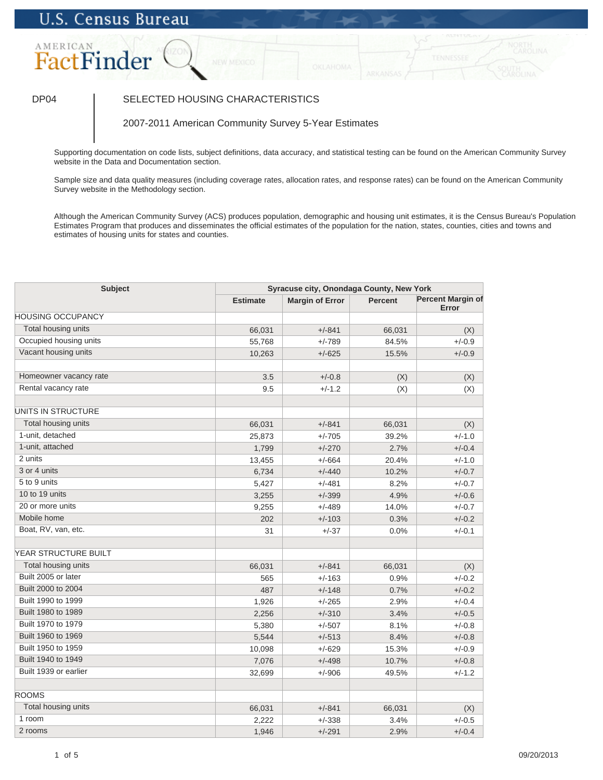## **U.S. Census Bureau**

## AMERICAN FactFinder

## DP04 SELECTED HOUSING CHARACTERISTICS

2007-2011 American Community Survey 5-Year Estimates

Supporting documentation on code lists, subject definitions, data accuracy, and statistical testing can be found on the American Community Survey website in the Data and Documentation section.

Sample size and data quality measures (including coverage rates, allocation rates, and response rates) can be found on the American Community Survey website in the Methodology section.

Although the American Community Survey (ACS) produces population, demographic and housing unit estimates, it is the Census Bureau's Population Estimates Program that produces and disseminates the official estimates of the population for the nation, states, counties, cities and towns and estimates of housing units for states and counties.

| <b>Subject</b>           | Syracuse city, Onondaga County, New York |                        |                |                                   |
|--------------------------|------------------------------------------|------------------------|----------------|-----------------------------------|
|                          | <b>Estimate</b>                          | <b>Margin of Error</b> | <b>Percent</b> | <b>Percent Margin of</b><br>Error |
| <b>HOUSING OCCUPANCY</b> |                                          |                        |                |                                   |
| Total housing units      | 66,031                                   | $+/-841$               | 66,031         | (X)                               |
| Occupied housing units   | 55,768                                   | $+/-789$               | 84.5%          | $+/-0.9$                          |
| Vacant housing units     | 10,263                                   | $+/-625$               | 15.5%          | $+/-0.9$                          |
| Homeowner vacancy rate   | 3.5                                      | $+/-0.8$               | (X)            | (X)                               |
| Rental vacancy rate      | 9.5                                      | $+/-1.2$               | (X)            | (X)                               |
| UNITS IN STRUCTURE       |                                          |                        |                |                                   |
| Total housing units      | 66,031                                   | $+/-841$               | 66,031         | (X)                               |
| 1-unit, detached         | 25,873                                   | $+/-705$               | 39.2%          | $+/-1.0$                          |
| 1-unit, attached         | 1,799                                    | $+/-270$               | 2.7%           | $+/-0.4$                          |
| 2 units                  | 13,455                                   | $+/-664$               | 20.4%          | $+/-1.0$                          |
| 3 or 4 units             | 6,734                                    | $+/-440$               | 10.2%          | $+/-0.7$                          |
| 5 to 9 units             | 5,427                                    | $+/-481$               | 8.2%           | $+/-0.7$                          |
| 10 to 19 units           | 3,255                                    | $+/-399$               | 4.9%           | $+/-0.6$                          |
| 20 or more units         | 9,255                                    | $+/-489$               | 14.0%          | $+/-0.7$                          |
| Mobile home              | 202                                      | $+/-103$               | 0.3%           | $+/-0.2$                          |
| Boat, RV, van, etc.      | 31                                       | $+/-37$                | 0.0%           | $+/-0.1$                          |
| YEAR STRUCTURE BUILT     |                                          |                        |                |                                   |
| Total housing units      | 66,031                                   | $+/-841$               | 66,031         | (X)                               |
| Built 2005 or later      | 565                                      | $+/-163$               | 0.9%           | $+/-0.2$                          |
| Built 2000 to 2004       | 487                                      | $+/-148$               | 0.7%           | $+/-0.2$                          |
| Built 1990 to 1999       | 1,926                                    | $+/-265$               | 2.9%           | $+/-0.4$                          |
| Built 1980 to 1989       | 2,256                                    | $+/-310$               | 3.4%           | $+/-0.5$                          |
| Built 1970 to 1979       | 5,380                                    | $+/-507$               | 8.1%           | $+/-0.8$                          |
| Built 1960 to 1969       | 5,544                                    | $+/-513$               | 8.4%           | $+/-0.8$                          |
| Built 1950 to 1959       | 10,098                                   | $+/-629$               | 15.3%          | $+/-0.9$                          |
| Built 1940 to 1949       | 7,076                                    | $+/-498$               | 10.7%          | $+/-0.8$                          |
| Built 1939 or earlier    | 32,699                                   | $+/-906$               | 49.5%          | $+/-1.2$                          |
| <b>ROOMS</b>             |                                          |                        |                |                                   |
| Total housing units      | 66,031                                   | $+/-841$               | 66,031         | (X)                               |
| 1 room                   | 2,222                                    | $+/-338$               | 3.4%           | $+/-0.5$                          |
| 2 rooms                  | 1,946                                    | $+/-291$               | 2.9%           | $+/-0.4$                          |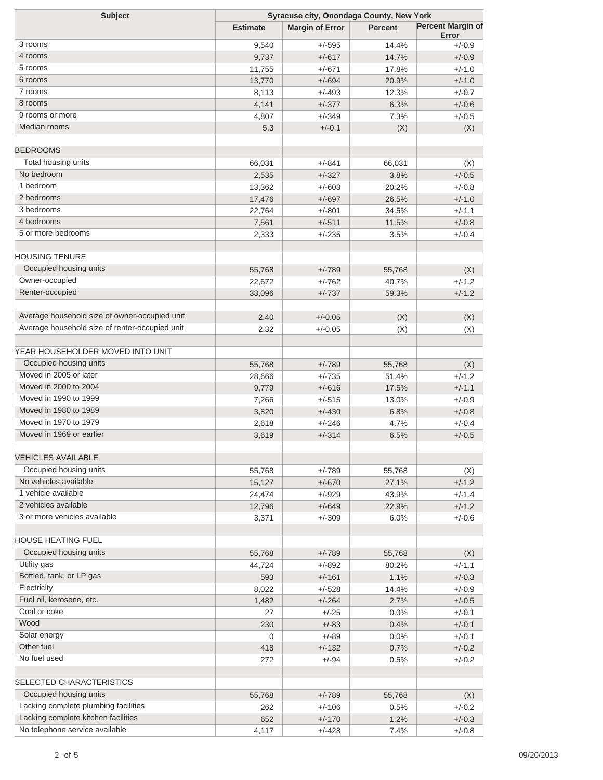| <b>Subject</b>                                     | Syracuse city, Onondaga County, New York |                        |                |                                   |  |
|----------------------------------------------------|------------------------------------------|------------------------|----------------|-----------------------------------|--|
|                                                    | <b>Estimate</b>                          | <b>Margin of Error</b> | <b>Percent</b> | <b>Percent Margin of</b><br>Error |  |
| 3 rooms                                            | 9,540                                    | $+/-595$               | 14.4%          | $+/-0.9$                          |  |
| 4 rooms                                            | 9,737                                    | $+/-617$               | 14.7%          | $+/-0.9$                          |  |
| 5 rooms                                            | 11,755                                   | $+/-671$               | 17.8%          | $+/-1.0$                          |  |
| 6 rooms                                            | 13,770                                   | $+/-694$               | 20.9%          | $+/-1.0$                          |  |
| 7 rooms                                            | 8,113                                    | $+/-493$               | 12.3%          | $+/-0.7$                          |  |
| 8 rooms                                            | 4,141                                    | $+/-377$               | 6.3%           | $+/-0.6$                          |  |
| 9 rooms or more                                    | 4,807                                    | $+/-349$               | 7.3%           | $+/-0.5$                          |  |
| Median rooms                                       | 5.3                                      | $+/-0.1$               | (X)            | (X)                               |  |
| <b>BEDROOMS</b>                                    |                                          |                        |                |                                   |  |
| Total housing units                                | 66,031                                   | $+/-841$               | 66,031         | (X)                               |  |
| No bedroom                                         | 2,535                                    | $+/-327$               | 3.8%           | $+/-0.5$                          |  |
| 1 bedroom                                          | 13,362                                   | $+/-603$               | 20.2%          | $+/-0.8$                          |  |
| 2 bedrooms                                         | 17,476                                   | $+/-697$               | 26.5%          | $+/-1.0$                          |  |
| 3 bedrooms                                         | 22,764                                   | $+/-801$               | 34.5%          | $+/-1.1$                          |  |
| 4 bedrooms                                         | 7,561                                    | $+/-511$               | 11.5%          | $+/-0.8$                          |  |
| 5 or more bedrooms                                 | 2,333                                    | $+/-235$               | 3.5%           | $+/-0.4$                          |  |
| <b>HOUSING TENURE</b>                              |                                          |                        |                |                                   |  |
| Occupied housing units                             | 55,768                                   | $+/-789$               | 55,768         | (X)                               |  |
| Owner-occupied                                     | 22,672                                   | $+/-762$               | 40.7%          | $+/-1.2$                          |  |
| Renter-occupied                                    | 33,096                                   | $+/-737$               | 59.3%          | $+/-1.2$                          |  |
| Average household size of owner-occupied unit      | 2.40                                     | $+/-0.05$              | (X)            | (X)                               |  |
| Average household size of renter-occupied unit     | 2.32                                     | $+/-0.05$              | (X)            | (X)                               |  |
|                                                    |                                          |                        |                |                                   |  |
| YEAR HOUSEHOLDER MOVED INTO UNIT                   |                                          |                        |                |                                   |  |
| Occupied housing units                             | 55,768                                   | $+/-789$               | 55,768         | (X)                               |  |
| Moved in 2005 or later                             | 28,666                                   | $+/-735$               | 51.4%          | $+/-1.2$                          |  |
| Moved in 2000 to 2004                              | 9,779                                    | $+/-616$               | 17.5%          | $+/-1.1$                          |  |
| Moved in 1990 to 1999                              | 7,266                                    | $+/-515$               | 13.0%          | $+/-0.9$                          |  |
| Moved in 1980 to 1989                              | 3,820                                    | $+/-430$               | 6.8%           | $+/-0.8$                          |  |
| Moved in 1970 to 1979                              | 2,618                                    | $+/-246$               | 4.7%           | $+/-0.4$                          |  |
| Moved in 1969 or earlier                           | 3,619                                    | $+/-314$               | 6.5%           | $+/-0.5$                          |  |
| <b>VEHICLES AVAILABLE</b>                          |                                          |                        |                |                                   |  |
| Occupied housing units                             | 55,768                                   | $+/-789$               | 55,768         | (X)                               |  |
| No vehicles available                              | 15,127                                   | $+/-670$               | 27.1%          | $+/-1.2$                          |  |
| 1 vehicle available                                | 24,474                                   | $+/-929$               | 43.9%          | $+/-1.4$                          |  |
| 2 vehicles available                               | 12,796                                   | $+/-649$               | 22.9%          | $+/-1.2$                          |  |
| 3 or more vehicles available                       | 3,371                                    | $+/-309$               | 6.0%           | $+/-0.6$                          |  |
| HOUSE HEATING FUEL                                 |                                          |                        |                |                                   |  |
| Occupied housing units                             | 55,768                                   | $+/-789$               | 55,768         | (X)                               |  |
| Utility gas                                        | 44,724                                   | $+/-892$               | 80.2%          | $+/-1.1$                          |  |
| Bottled, tank, or LP gas                           | 593                                      | $+/-161$               | 1.1%           | $+/-0.3$                          |  |
| Electricity                                        | 8,022                                    | $+/-528$               | 14.4%          | $+/-0.9$                          |  |
| Fuel oil, kerosene, etc.                           | 1,482                                    | $+/-264$               | 2.7%           | $+/-0.5$                          |  |
| Coal or coke                                       | 27                                       | $+/-25$                | 0.0%           | $+/-0.1$                          |  |
| Wood                                               | 230                                      | $+/-83$                | 0.4%           | $+/-0.1$                          |  |
| Solar energy                                       | 0                                        | $+/-89$                | 0.0%           | $+/-0.1$                          |  |
| Other fuel                                         | 418                                      | $+/-132$               | 0.7%           | $+/-0.2$                          |  |
| No fuel used                                       | 272                                      | $+/-94$                | 0.5%           | $+/-0.2$                          |  |
|                                                    |                                          |                        |                |                                   |  |
| SELECTED CHARACTERISTICS<br>Occupied housing units |                                          |                        |                |                                   |  |
| Lacking complete plumbing facilities               | 55,768                                   | $+/-789$               | 55,768         | (X)                               |  |
| Lacking complete kitchen facilities                | 262                                      | $+/-106$               | 0.5%           | $+/-0.2$                          |  |
| No telephone service available                     | 652                                      | $+/-170$               | 1.2%           | $+/-0.3$                          |  |
|                                                    | 4,117                                    | $+/-428$               | 7.4%           | $+/-0.8$                          |  |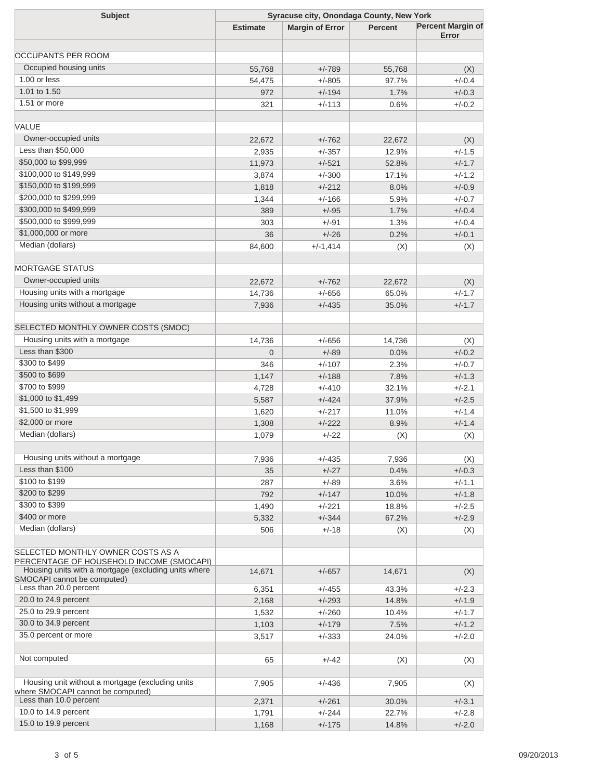| <b>Subject</b>                                       | Syracuse city, Onondaga County, New York |                        |         |                          |  |
|------------------------------------------------------|------------------------------------------|------------------------|---------|--------------------------|--|
|                                                      | <b>Estimate</b>                          | <b>Margin of Error</b> | Percent | <b>Percent Margin of</b> |  |
|                                                      |                                          |                        |         | Error                    |  |
| <b>OCCUPANTS PER ROOM</b>                            |                                          |                        |         |                          |  |
| Occupied housing units                               |                                          |                        |         |                          |  |
| 1.00 or less                                         | 55,768                                   | $+/-789$               | 55,768  | (X)                      |  |
| 1.01 to 1.50                                         | 54,475                                   | $+/-805$               | 97.7%   | $+/-0.4$                 |  |
|                                                      | 972                                      | $+/-194$               | 1.7%    | $+/-0.3$                 |  |
| 1.51 or more                                         | 321                                      | $+/-113$               | 0.6%    | $+/-0.2$                 |  |
|                                                      |                                          |                        |         |                          |  |
| VALUE                                                |                                          |                        |         |                          |  |
| Owner-occupied units                                 | 22,672                                   | $+/-762$               | 22,672  | (X)                      |  |
| Less than \$50,000                                   | 2,935                                    | $+/-357$               | 12.9%   | $+/-1.5$                 |  |
| \$50,000 to \$99,999                                 | 11,973                                   | $+/-521$               | 52.8%   | $+/-1.7$                 |  |
| \$100,000 to \$149,999                               | 3,874                                    | $+/-300$               | 17.1%   | $+/-1.2$                 |  |
| \$150,000 to \$199,999                               | 1,818                                    | $+/-212$               | 8.0%    | $+/-0.9$                 |  |
| \$200,000 to \$299,999                               | 1,344                                    | $+/-166$               | 5.9%    | $+/-0.7$                 |  |
| \$300,000 to \$499,999                               | 389                                      | $+/-95$                | 1.7%    | $+/-0.4$                 |  |
| \$500,000 to \$999,999                               | 303                                      | $+/-91$                | 1.3%    | $+/-0.4$                 |  |
| \$1,000,000 or more                                  | 36                                       | $+/-26$                | 0.2%    | $+/-0.1$                 |  |
| Median (dollars)                                     | 84,600                                   | $+/-1,414$             | (X)     | (X)                      |  |
|                                                      |                                          |                        |         |                          |  |
| <b>MORTGAGE STATUS</b>                               |                                          |                        |         |                          |  |
| Owner-occupied units                                 | 22,672                                   | $+/-762$               | 22,672  | (X)                      |  |
| Housing units with a mortgage                        | 14,736                                   | $+/-656$               | 65.0%   | $+/-1.7$                 |  |
| Housing units without a mortgage                     | 7,936                                    | $+/-435$               | 35.0%   | $+/-1.7$                 |  |
|                                                      |                                          |                        |         |                          |  |
| SELECTED MONTHLY OWNER COSTS (SMOC)                  |                                          |                        |         |                          |  |
| Housing units with a mortgage                        |                                          |                        |         |                          |  |
| Less than \$300                                      | 14,736                                   | $+/-656$               | 14,736  | (X)                      |  |
|                                                      | $\overline{0}$                           | $+/-89$                | 0.0%    | $+/-0.2$                 |  |
| \$300 to \$499                                       | 346                                      | $+/-107$               | 2.3%    | $+/-0.7$                 |  |
| \$500 to \$699                                       | 1,147                                    | $+/-188$               | 7.8%    | $+/-1.3$                 |  |
| \$700 to \$999                                       | 4,728                                    | $+/-410$               | 32.1%   | $+/-2.1$                 |  |
| \$1,000 to \$1,499                                   | 5,587                                    | $+/-424$               | 37.9%   | $+/-2.5$                 |  |
| \$1,500 to \$1,999                                   | 1,620                                    | $+/-217$               | 11.0%   | $+/-1.4$                 |  |
| \$2,000 or more                                      | 1,308                                    | $+/-222$               | 8.9%    | $+/-1.4$                 |  |
| Median (dollars)                                     | 1,079                                    | $+/-22$                | (X)     | (X)                      |  |
|                                                      |                                          |                        |         |                          |  |
| Housing units without a mortgage                     | 7,936                                    | $+/-435$               | 7,936   | (X)                      |  |
| Less than \$100                                      | 35                                       | $+/-27$                | 0.4%    | $+/-0.3$                 |  |
| \$100 to \$199                                       | 287                                      | $+/-89$                | 3.6%    | $+/-1.1$                 |  |
| \$200 to \$299                                       | 792                                      | $+/-147$               | 10.0%   | $+/-1.8$                 |  |
| \$300 to \$399                                       | 1,490                                    | $+/-221$               | 18.8%   | $+/-2.5$                 |  |
| \$400 or more                                        | 5,332                                    | $+/-344$               | 67.2%   | $+/-2.9$                 |  |
| Median (dollars)                                     | 506                                      | $+/-18$                | (X)     | (X)                      |  |
|                                                      |                                          |                        |         |                          |  |
| SELECTED MONTHLY OWNER COSTS AS A                    |                                          |                        |         |                          |  |
| PERCENTAGE OF HOUSEHOLD INCOME (SMOCAPI)             |                                          |                        |         |                          |  |
| Housing units with a mortgage (excluding units where | 14,671                                   | $+/-657$               | 14,671  | (X)                      |  |
| SMOCAPI cannot be computed)                          |                                          |                        |         |                          |  |
| Less than 20.0 percent                               | 6,351                                    | $+/-455$               | 43.3%   | $+/-2.3$                 |  |
| 20.0 to 24.9 percent                                 | 2,168                                    | $+/-293$               | 14.8%   | $+/-1.9$                 |  |
| 25.0 to 29.9 percent                                 | 1,532                                    | $+/-260$               | 10.4%   | $+/-1.7$                 |  |
| 30.0 to 34.9 percent                                 | 1,103                                    | $+/-179$               | 7.5%    | $+/-1.2$                 |  |
| 35.0 percent or more                                 | 3,517                                    | $+/-333$               | 24.0%   | $+/-2.0$                 |  |
|                                                      |                                          |                        |         |                          |  |
| Not computed                                         | 65                                       | $+/-42$                | (X)     | (X)                      |  |
|                                                      |                                          |                        |         |                          |  |
| Housing unit without a mortgage (excluding units     | 7,905                                    | $+/-436$               | 7,905   | (X)                      |  |
| where SMOCAPI cannot be computed)                    |                                          |                        |         |                          |  |
| Less than 10.0 percent                               | 2,371                                    | $+/-261$               | 30.0%   | $+/-3.1$                 |  |
| 10.0 to 14.9 percent                                 | 1,791                                    | $+/-244$               | 22.7%   | $+/-2.8$                 |  |
| 15.0 to 19.9 percent                                 | 1,168                                    | $+/-175$               | 14.8%   | $+/-2.0$                 |  |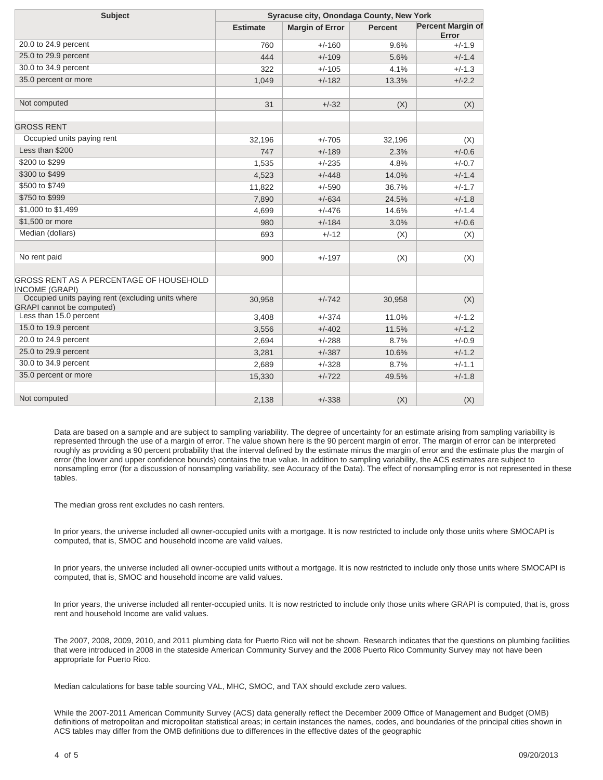| <b>Subject</b>                                                                        | Syracuse city, Onondaga County, New York |                        |                |                                   |
|---------------------------------------------------------------------------------------|------------------------------------------|------------------------|----------------|-----------------------------------|
|                                                                                       | <b>Estimate</b>                          | <b>Margin of Error</b> | <b>Percent</b> | <b>Percent Margin of</b><br>Error |
| 20.0 to 24.9 percent                                                                  | 760                                      | $+/-160$               | 9.6%           | $+/-1.9$                          |
| 25.0 to 29.9 percent                                                                  | 444                                      | $+/-109$               | 5.6%           | $+/-1.4$                          |
| 30.0 to 34.9 percent                                                                  | 322                                      | $+/-105$               | 4.1%           | $+/-1.3$                          |
| 35.0 percent or more                                                                  | 1,049                                    | $+/-182$               | 13.3%          | $+/-2.2$                          |
| Not computed                                                                          | 31                                       | $+/-32$                | (X)            | (X)                               |
| <b>GROSS RENT</b>                                                                     |                                          |                        |                |                                   |
| Occupied units paying rent                                                            | 32,196                                   | $+/-705$               | 32,196         | (X)                               |
| Less than \$200                                                                       | 747                                      | $+/-189$               | 2.3%           | $+/-0.6$                          |
| \$200 to \$299                                                                        | 1,535                                    | $+/-235$               | 4.8%           | $+/-0.7$                          |
| \$300 to \$499                                                                        | 4,523                                    | $+/-448$               | 14.0%          | $+/-1.4$                          |
| \$500 to \$749                                                                        | 11,822                                   | $+/-590$               | 36.7%          | $+/-1.7$                          |
| \$750 to \$999                                                                        | 7,890                                    | $+/-634$               | 24.5%          | $+/-1.8$                          |
| \$1,000 to \$1,499                                                                    | 4,699                                    | $+/-476$               | 14.6%          | $+/-1.4$                          |
| \$1,500 or more                                                                       | 980                                      | $+/-184$               | 3.0%           | $+/-0.6$                          |
| Median (dollars)                                                                      | 693                                      | $+/-12$                | (X)            | (X)                               |
| No rent paid                                                                          | 900                                      | $+/-197$               | (X)            | (X)                               |
| GROSS RENT AS A PERCENTAGE OF HOUSEHOLD<br><b>INCOME (GRAPI)</b>                      |                                          |                        |                |                                   |
| Occupied units paying rent (excluding units where<br><b>GRAPI</b> cannot be computed) | 30,958                                   | $+/-742$               | 30,958         | (X)                               |
| Less than 15.0 percent                                                                | 3,408                                    | $+/-374$               | 11.0%          | $+/-1.2$                          |
| 15.0 to 19.9 percent                                                                  | 3,556                                    | $+/-402$               | 11.5%          | $+/-1.2$                          |
| 20.0 to 24.9 percent                                                                  | 2,694                                    | $+/-288$               | 8.7%           | $+/-0.9$                          |
| 25.0 to 29.9 percent                                                                  | 3,281                                    | $+/-387$               | 10.6%          | $+/-1.2$                          |
| 30.0 to 34.9 percent                                                                  | 2,689                                    | $+/-328$               | 8.7%           | $+/-1.1$                          |
| 35.0 percent or more                                                                  | 15,330                                   | $+/-722$               | 49.5%          | $+/-1.8$                          |
| Not computed                                                                          | 2,138                                    | $+/-338$               | (X)            | (X)                               |

Data are based on a sample and are subject to sampling variability. The degree of uncertainty for an estimate arising from sampling variability is represented through the use of a margin of error. The value shown here is the 90 percent margin of error. The margin of error can be interpreted roughly as providing a 90 percent probability that the interval defined by the estimate minus the margin of error and the estimate plus the margin of error (the lower and upper confidence bounds) contains the true value. In addition to sampling variability, the ACS estimates are subject to nonsampling error (for a discussion of nonsampling variability, see Accuracy of the Data). The effect of nonsampling error is not represented in these tables.

The median gross rent excludes no cash renters.

In prior years, the universe included all owner-occupied units with a mortgage. It is now restricted to include only those units where SMOCAPI is computed, that is, SMOC and household income are valid values.

In prior years, the universe included all owner-occupied units without a mortgage. It is now restricted to include only those units where SMOCAPI is computed, that is, SMOC and household income are valid values.

In prior years, the universe included all renter-occupied units. It is now restricted to include only those units where GRAPI is computed, that is, gross rent and household Income are valid values.

The 2007, 2008, 2009, 2010, and 2011 plumbing data for Puerto Rico will not be shown. Research indicates that the questions on plumbing facilities that were introduced in 2008 in the stateside American Community Survey and the 2008 Puerto Rico Community Survey may not have been appropriate for Puerto Rico.

Median calculations for base table sourcing VAL, MHC, SMOC, and TAX should exclude zero values.

While the 2007-2011 American Community Survey (ACS) data generally reflect the December 2009 Office of Management and Budget (OMB) definitions of metropolitan and micropolitan statistical areas; in certain instances the names, codes, and boundaries of the principal cities shown in ACS tables may differ from the OMB definitions due to differences in the effective dates of the geographic